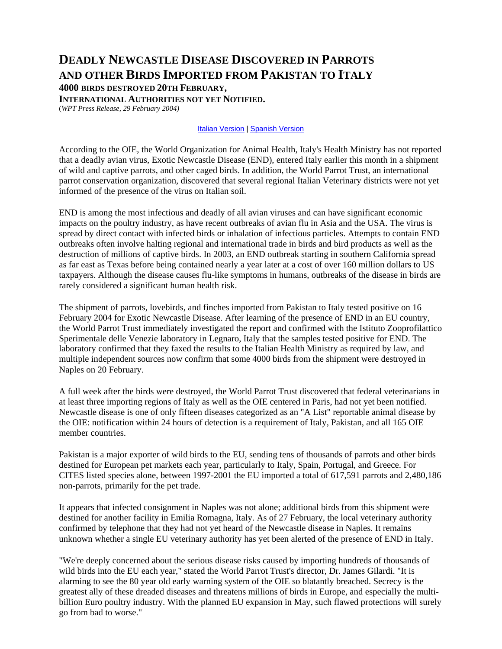## **DEADLY NEWCASTLE DISEASE DISCOVERED IN PARROTS AND OTHER BIRDS IMPORTED FROM PAKISTAN TO ITALY 4000 BIRDS DESTROYED 20TH FEBRUARY, INTERNATIONAL AUTHORITIES NOT YET NOTIFIED.**

(*WPT Press Release, 29 February 2004)*

## **[Italian Version](http://worldparrottrust.org/news/end/pr29feb2004_italian.htm) | [Spanish Version](http://worldparrottrust.org/news/end/pr29feb2004_spanish.htm)**

According to the OIE, the World Organization for Animal Health, Italy's Health Ministry has not reported that a deadly avian virus, Exotic Newcastle Disease (END), entered Italy earlier this month in a shipment of wild and captive parrots, and other caged birds. In addition, the World Parrot Trust, an international parrot conservation organization, discovered that several regional Italian Veterinary districts were not yet informed of the presence of the virus on Italian soil.

END is among the most infectious and deadly of all avian viruses and can have significant economic impacts on the poultry industry, as have recent outbreaks of avian flu in Asia and the USA. The virus is spread by direct contact with infected birds or inhalation of infectious particles. Attempts to contain END outbreaks often involve halting regional and international trade in birds and bird products as well as the destruction of millions of captive birds. In 2003, an END outbreak starting in southern California spread as far east as Texas before being contained nearly a year later at a cost of over 160 million dollars to US taxpayers. Although the disease causes flu-like symptoms in humans, outbreaks of the disease in birds are rarely considered a significant human health risk.

The shipment of parrots, lovebirds, and finches imported from Pakistan to Italy tested positive on 16 February 2004 for Exotic Newcastle Disease. After learning of the presence of END in an EU country, the World Parrot Trust immediately investigated the report and confirmed with the Istituto Zooprofilattico Sperimentale delle Venezie laboratory in Legnaro, Italy that the samples tested positive for END. The laboratory confirmed that they faxed the results to the Italian Health Ministry as required by law, and multiple independent sources now confirm that some 4000 birds from the shipment were destroyed in Naples on 20 February.

A full week after the birds were destroyed, the World Parrot Trust discovered that federal veterinarians in at least three importing regions of Italy as well as the OIE centered in Paris, had not yet been notified. Newcastle disease is one of only fifteen diseases categorized as an "A List" reportable animal disease by the OIE: notification within 24 hours of detection is a requirement of Italy, Pakistan, and all 165 OIE member countries.

Pakistan is a major exporter of wild birds to the EU, sending tens of thousands of parrots and other birds destined for European pet markets each year, particularly to Italy, Spain, Portugal, and Greece. For CITES listed species alone, between 1997-2001 the EU imported a total of 617,591 parrots and 2,480,186 non-parrots, primarily for the pet trade.

It appears that infected consignment in Naples was not alone; additional birds from this shipment were destined for another facility in Emilia Romagna, Italy. As of 27 February, the local veterinary authority confirmed by telephone that they had not yet heard of the Newcastle disease in Naples. It remains unknown whether a single EU veterinary authority has yet been alerted of the presence of END in Italy.

"We're deeply concerned about the serious disease risks caused by importing hundreds of thousands of wild birds into the EU each year," stated the World Parrot Trust's director, Dr. James Gilardi. "It is alarming to see the 80 year old early warning system of the OIE so blatantly breached. Secrecy is the greatest ally of these dreaded diseases and threatens millions of birds in Europe, and especially the multibillion Euro poultry industry. With the planned EU expansion in May, such flawed protections will surely go from bad to worse."